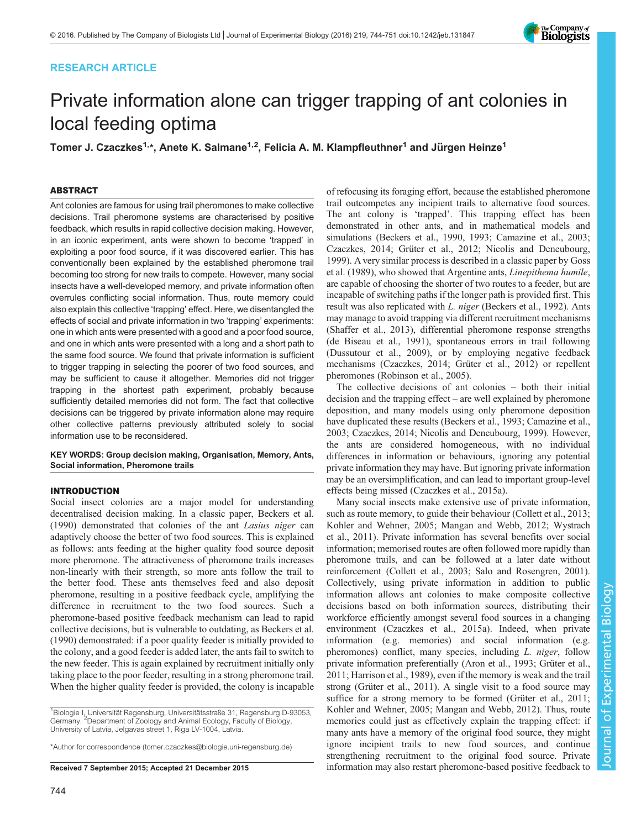# RESEARCH ARTICLE

# Private information alone can trigger trapping of ant colonies in local feeding optima

Tomer J. Czaczkes<sup>1,\*</sup>, Anete K. Salmane<sup>1,2</sup>, Felicia A. M. Klampfleuthner<sup>1</sup> and Jürgen Heinze<sup>1</sup>

# ABSTRACT

Ant colonies are famous for using trail pheromones to make collective decisions. Trail pheromone systems are characterised by positive feedback, which results in rapid collective decision making. However, in an iconic experiment, ants were shown to become 'trapped' in exploiting a poor food source, if it was discovered earlier. This has conventionally been explained by the established pheromone trail becoming too strong for new trails to compete. However, many social insects have a well-developed memory, and private information often overrules conflicting social information. Thus, route memory could also explain this collective 'trapping' effect. Here, we disentangled the effects of social and private information in two 'trapping' experiments: one in which ants were presented with a good and a poor food source, and one in which ants were presented with a long and a short path to the same food source. We found that private information is sufficient to trigger trapping in selecting the poorer of two food sources, and may be sufficient to cause it altogether. Memories did not trigger trapping in the shortest path experiment, probably because sufficiently detailed memories did not form. The fact that collective decisions can be triggered by private information alone may require other collective patterns previously attributed solely to social information use to be reconsidered.

KEY WORDS: Group decision making, Organisation, Memory, Ants, Social information, Pheromone trails

# INTRODUCTION

Social insect colonies are a major model for understanding decentralised decision making. In a classic paper, [Beckers et al.](#page-6-0) [\(1990\)](#page-6-0) demonstrated that colonies of the ant Lasius niger can adaptively choose the better of two food sources. This is explained as follows: ants feeding at the higher quality food source deposit more pheromone. The attractiveness of pheromone trails increases non-linearly with their strength, so more ants follow the trail to the better food. These ants themselves feed and also deposit pheromone, resulting in a positive feedback cycle, amplifying the difference in recruitment to the two food sources. Such a pheromone-based positive feedback mechanism can lead to rapid collective decisions, but is vulnerable to outdating, as [Beckers et al.](#page-6-0) [\(1990\)](#page-6-0) demonstrated: if a poor quality feeder is initially provided to the colony, and a good feeder is added later, the ants fail to switch to the new feeder. This is again explained by recruitment initially only taking place to the poor feeder, resulting in a strong pheromone trail. When the higher quality feeder is provided, the colony is incapable

The ant colony is 'trapped'. This trapping effect has been demonstrated in other ants, and in mathematical models and simulations [\(Beckers et al., 1990](#page-6-0), [1993; Camazine et al., 2003](#page-6-0); [Czaczkes, 2014](#page-6-0); [Grüter et al., 2012; Nicolis and Deneubourg,](#page-7-0) [1999\)](#page-7-0). A very similar process is described in a classic paper by [Goss](#page-6-0) [et al. \(1989\)](#page-6-0), who showed that Argentine ants, Linepithema humile, are capable of choosing the shorter of two routes to a feeder, but are incapable of switching paths if the longer path is provided first. This result was also replicated with L. niger [\(Beckers et al., 1992](#page-6-0)). Ants may manage to avoid trapping via different recruitment mechanisms [\(Shaffer et al., 2013\)](#page-7-0), differential pheromone response strengths [\(de Biseau et al., 1991\)](#page-6-0), spontaneous errors in trail following [\(Dussutour et al., 2009\)](#page-6-0), or by employing negative feedback mechanisms [\(Czaczkes, 2014;](#page-6-0) [Grüter et al., 2012\)](#page-7-0) or repellent pheromones ([Robinson et al., 2005](#page-7-0)). The collective decisions of ant colonies – both their initial decision and the trapping effect – are well explained by pheromone

of refocusing its foraging effort, because the established pheromone trail outcompetes any incipient trails to alternative food sources.

deposition, and many models using only pheromone deposition have duplicated these results [\(Beckers et al., 1993; Camazine et al.,](#page-6-0) [2003; Czaczkes, 2014](#page-6-0); [Nicolis and Deneubourg, 1999](#page-7-0)). However, the ants are considered homogeneous, with no individual differences in information or behaviours, ignoring any potential private information they may have. But ignoring private information may be an oversimplification, and can lead to important group-level effects being missed [\(Czaczkes et al., 2015a\)](#page-6-0).

Many social insects make extensive use of private information, such as route memory, to guide their behaviour ([Collett et al., 2013](#page-6-0); [Kohler and Wehner, 2005; Mangan and Webb, 2012](#page-7-0); [Wystrach](#page-7-0) [et al., 2011](#page-7-0)). Private information has several benefits over social information; memorised routes are often followed more rapidly than pheromone trails, and can be followed at a later date without reinforcement [\(Collett et al., 2003](#page-6-0); [Salo and Rosengren, 2001\)](#page-7-0). Collectively, using private information in addition to public information allows ant colonies to make composite collective decisions based on both information sources, distributing their workforce efficiently amongst several food sources in a changing environment [\(Czaczkes et al., 2015a](#page-6-0)). Indeed, when private information (e.g. memories) and social information (e.g. pheromones) conflict, many species, including L. niger, follow private information preferentially [\(Aron et al., 1993; Grüter et al.,](#page-6-0) [2011;](#page-6-0) [Harrison et al., 1989\)](#page-7-0), even if the memory is weak and the trail strong ([Grüter et al., 2011\)](#page-6-0). A single visit to a food source may suffice for a strong memory to be formed [\(Grüter et al., 2011](#page-6-0); [Kohler and Wehner, 2005; Mangan and Webb, 2012\)](#page-7-0). Thus, route memories could just as effectively explain the trapping effect: if many ants have a memory of the original food source, they might ignore incipient trails to new food sources, and continue strengthening recruitment to the original food source. Private Received 7 September 2015; Accepted 21 December 2015 information may also restart pheromone-based positive feedback to



<sup>&</sup>lt;sup>1</sup>Biologie I, Universität Regensburg, Universitätsstraße 31, Regensburg D-93053, Germany. <sup>2</sup> Department of Zoology and Animal Ecology, Faculty of Biology, University of Latvia, Jelgavas street 1, Riga LV-1004, Latvia.

<sup>\*</sup>Author for correspondence [\(tomer.czaczkes@biologie.uni-regensburg.de\)](mailto:tomer.czaczkes@biologie.uni-regensburg.de)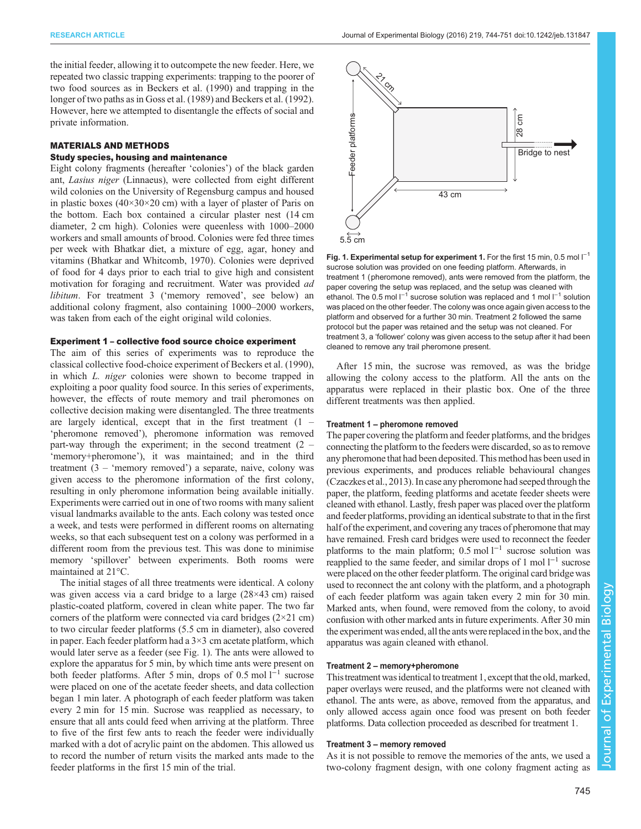the initial feeder, allowing it to outcompete the new feeder. Here, we repeated two classic trapping experiments: trapping to the poorer of two food sources as in [Beckers et al. \(1990\)](#page-6-0) and trapping in the longer of two paths as in [Goss et al. \(1989\)](#page-6-0) and [Beckers et al. \(1992\).](#page-6-0) However, here we attempted to disentangle the effects of social and private information.

# MATERIALS AND METHODS

# Study species, housing and maintenance

Eight colony fragments (hereafter 'colonies') of the black garden ant, Lasius niger (Linnaeus), were collected from eight different wild colonies on the University of Regensburg campus and housed in plastic boxes  $(40\times30\times20$  cm) with a layer of plaster of Paris on the bottom. Each box contained a circular plaster nest (14 cm diameter, 2 cm high). Colonies were queenless with 1000–2000 workers and small amounts of brood. Colonies were fed three times per week with Bhatkar diet, a mixture of egg, agar, honey and vitamins ([Bhatkar and Whitcomb, 1970\)](#page-6-0). Colonies were deprived of food for 4 days prior to each trial to give high and consistent motivation for foraging and recruitment. Water was provided ad libitum. For treatment 3 ('memory removed', see below) an additional colony fragment, also containing 1000–2000 workers, was taken from each of the eight original wild colonies.

#### Experiment 1 – collective food source choice experiment

The aim of this series of experiments was to reproduce the classical collective food-choice experiment of [Beckers et al. \(1990\),](#page-6-0) in which L. niger colonies were shown to become trapped in exploiting a poor quality food source. In this series of experiments, however, the effects of route memory and trail pheromones on collective decision making were disentangled. The three treatments are largely identical, except that in the first treatment  $(1 -$ 'pheromone removed'), pheromone information was removed part-way through the experiment; in the second treatment  $(2 -$ 'memory+pheromone'), it was maintained; and in the third treatment  $(3 - 'memory removed')$  a separate, naive, colony was given access to the pheromone information of the first colony, resulting in only pheromone information being available initially. Experiments were carried out in one of two rooms with many salient visual landmarks available to the ants. Each colony was tested once a week, and tests were performed in different rooms on alternating weeks, so that each subsequent test on a colony was performed in a different room from the previous test. This was done to minimise memory 'spillover' between experiments. Both rooms were maintained at 21°C.

The initial stages of all three treatments were identical. A colony was given access via a card bridge to a large (28×43 cm) raised plastic-coated platform, covered in clean white paper. The two far corners of the platform were connected via card bridges  $(2\times21 \text{ cm})$ to two circular feeder platforms (5.5 cm in diameter), also covered in paper. Each feeder platform had a  $3\times 3$  cm acetate platform, which would later serve as a feeder (see Fig. 1). The ants were allowed to explore the apparatus for 5 min, by which time ants were present on both feeder platforms. After 5 min, drops of 0.5 mol l−<sup>1</sup> sucrose were placed on one of the acetate feeder sheets, and data collection began 1 min later. A photograph of each feeder platform was taken every 2 min for 15 min. Sucrose was reapplied as necessary, to ensure that all ants could feed when arriving at the platform. Three to five of the first few ants to reach the feeder were individually marked with a dot of acrylic paint on the abdomen. This allowed us to record the number of return visits the marked ants made to the feeder platforms in the first 15 min of the trial.



Fig. 1. Experimental setup for experiment 1. For the first 15 min, 0.5 mol  $I^{-1}$ sucrose solution was provided on one feeding platform. Afterwards, in treatment 1 (pheromone removed), ants were removed from the platform, the paper covering the setup was replaced, and the setup was cleaned with ethanol. The 0.5 mol l<sup>-1</sup> sucrose solution was replaced and 1 mol l<sup>-1</sup> solution was placed on the other feeder. The colony was once again given access to the platform and observed for a further 30 min. Treatment 2 followed the same protocol but the paper was retained and the setup was not cleaned. For treatment 3, a 'follower' colony was given access to the setup after it had been cleaned to remove any trail pheromone present.

After 15 min, the sucrose was removed, as was the bridge allowing the colony access to the platform. All the ants on the apparatus were replaced in their plastic box. One of the three different treatments was then applied.

#### Treatment 1 – pheromone removed

The paper covering the platform and feeder platforms, and the bridges connecting the platform to the feeders were discarded, so as to remove any pheromone that had been deposited. This method has been used in previous experiments, and produces reliable behavioural changes [\(Czaczkes et al., 2013](#page-6-0)). In case any pheromone had seeped through the paper, the platform, feeding platforms and acetate feeder sheets were cleaned with ethanol. Lastly, fresh paper was placed over the platform and feeder platforms, providing an identical substrate to that in the first half of the experiment, and covering any traces of pheromone that may have remained. Fresh card bridges were used to reconnect the feeder platforms to the main platform; 0.5 mol l<sup>-1</sup> sucrose solution was reapplied to the same feeder, and similar drops of 1 mol l−<sup>1</sup> sucrose were placed on the other feeder platform. The original card bridge was used to reconnect the ant colony with the platform, and a photograph of each feeder platform was again taken every 2 min for 30 min. Marked ants, when found, were removed from the colony, to avoid confusion with other marked ants in future experiments. After 30 min the experiment was ended, all the ants were replaced in the box, and the apparatus was again cleaned with ethanol. Figure 1. **Experimental setup for experiment 1.** For the first 15 min, 0.5 molt and the setup fragment of (phenoment design) and setup fragment of the colony fragment of (phenoment one colony fragment of the same that col

# Treatment 2 – memory+pheromone

Thistreatment was identical to treatment 1, except that the old, marked, paper overlays were reused, and the platforms were not cleaned with ethanol. The ants were, as above, removed from the apparatus, and only allowed access again once food was present on both feeder platforms. Data collection proceeded as described for treatment 1.

# Treatment 3 – memory removed

As it is not possible to remove the memories of the ants, we used a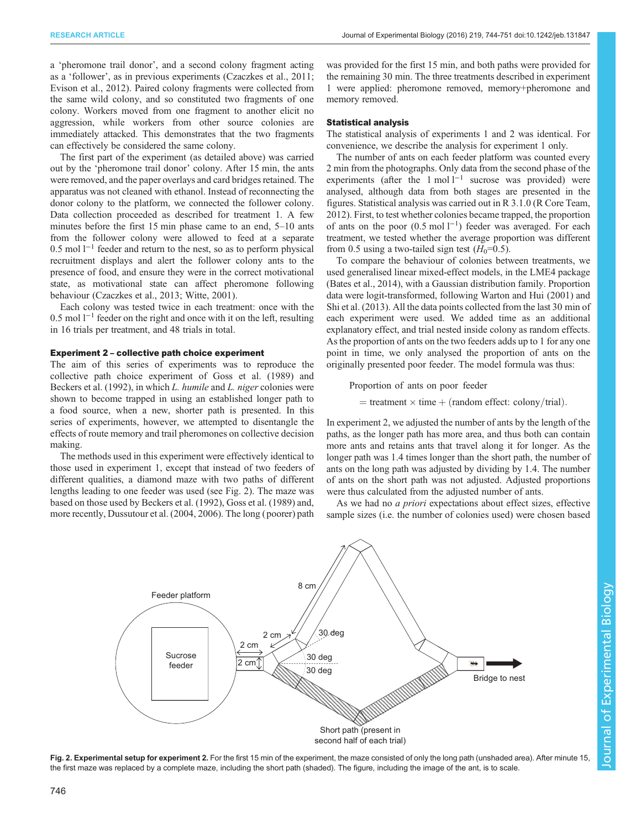a 'pheromone trail donor', and a second colony fragment acting as a 'follower', as in previous experiments [\(Czaczkes et al., 2011](#page-6-0); [Evison et al., 2012](#page-6-0)). Paired colony fragments were collected from the same wild colony, and so constituted two fragments of one colony. Workers moved from one fragment to another elicit no aggression, while workers from other source colonies are immediately attacked. This demonstrates that the two fragments can effectively be considered the same colony.

The first part of the experiment (as detailed above) was carried out by the 'pheromone trail donor' colony. After 15 min, the ants were removed, and the paper overlays and card bridges retained. The apparatus was not cleaned with ethanol. Instead of reconnecting the donor colony to the platform, we connected the follower colony. Data collection proceeded as described for treatment 1. A few minutes before the first 15 min phase came to an end, 5–10 ants from the follower colony were allowed to feed at a separate 0.5 mol l−<sup>1</sup> feeder and return to the nest, so as to perform physical recruitment displays and alert the follower colony ants to the presence of food, and ensure they were in the correct motivational state, as motivational state can affect pheromone following behaviour [\(Czaczkes et al., 2013;](#page-6-0) [Witte, 2001\)](#page-7-0).

Each colony was tested twice in each treatment: once with the 0.5 mol l−<sup>1</sup> feeder on the right and once with it on the left, resulting in 16 trials per treatment, and 48 trials in total.

#### Experiment 2 – collective path choice experiment

The aim of this series of experiments was to reproduce the collective path choice experiment of [Goss et al. \(1989\)](#page-6-0) and [Beckers et al. \(1992\)](#page-6-0), in which L. humile and L. niger colonies were shown to become trapped in using an established longer path to a food source, when a new, shorter path is presented. In this series of experiments, however, we attempted to disentangle the effects of route memory and trail pheromones on collective decision making.

The methods used in this experiment were effectively identical to those used in experiment 1, except that instead of two feeders of different qualities, a diamond maze with two paths of different lengths leading to one feeder was used (see Fig. 2). The maze was based on those used by [Beckers et al. \(1992\)](#page-6-0), [Goss et al. \(1989\)](#page-6-0) and, more recently, [Dussutour et al. \(2004, 2006](#page-6-0)). The long ( poorer) path was provided for the first 15 min, and both paths were provided for the remaining 30 min. The three treatments described in experiment 1 were applied: pheromone removed, memory+pheromone and memory removed.

# Statistical analysis

The statistical analysis of experiments 1 and 2 was identical. For convenience, we describe the analysis for experiment 1 only.

The number of ants on each feeder platform was counted every 2 min from the photographs. Only data from the second phase of the experiments (after the 1 mol  $l^{-1}$  sucrose was provided) were analysed, although data from both stages are presented in the figures. Statistical analysis was carried out in R 3.1.0 ([R Core Team,](#page-7-0) [2012\)](#page-7-0). First, to test whether colonies became trapped, the proportion of ants on the poor (0.5 mol l<sup>-1</sup>) feeder was averaged. For each treatment, we tested whether the average proportion was different from 0.5 using a two-tailed sign test  $(H_0=0.5)$ .

To compare the behaviour of colonies between treatments, we used generalised linear mixed-effect models, in the LME4 package [\(Bates et al., 2014\)](#page-6-0), with a Gaussian distribution family. Proportion data were logit-transformed, following [Warton and Hui \(2001\)](#page-7-0) and [Shi et al. \(2013\)](#page-7-0). All the data points collected from the last 30 min of each experiment were used. We added time as an additional explanatory effect, and trial nested inside colony as random effects. As the proportion of ants on the two feeders adds up to 1 for any one point in time, we only analysed the proportion of ants on the originally presented poor feeder. The model formula was thus:

Proportion of ants on poor feeder

 $=$  treatment  $\times$  time  $+$  (random effect: colony/trial).

In experiment 2, we adjusted the number of ants by the length of the paths, as the longer path has more area, and thus both can contain more ants and retains ants that travel along it for longer. As the longer path was 1.4 times longer than the short path, the number of ants on the long path was adjusted by dividing by 1.4. The number of ants on the short path was not adjusted. Adjusted proportions were thus calculated from the adjusted number of ants.

As we had no *a priori* expectations about effect sizes, effective sample sizes (i.e. the number of colonies used) were chosen based



Fig. 2. Experimental setup for experiment 2. For the first 15 min of the experiment, the maze consisted of only the long path (unshaded area). After minute 15 the first maze was replaced by a complete maze, including the short path (shaded). The figure, including the image of the ant, is to scale.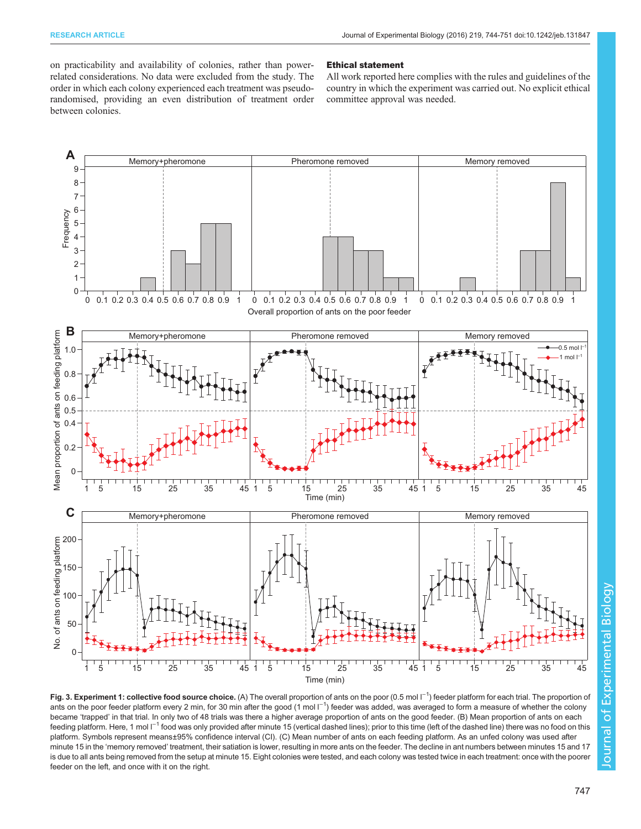<span id="page-3-0"></span>on practicability and availability of colonies, rather than powerrelated considerations. No data were excluded from the study. The order in which each colony experienced each treatment was pseudorandomised, providing an even distribution of treatment order between colonies.

## Ethical statement

All work reported here complies with the rules and guidelines of the country in which the experiment was carried out. No explicit ethical committee approval was needed.



Fig. 3. Experiment 1: collective food source choice. (A) The overall proportion of ants on the poor (0.5 mol I<sup>-1</sup>) feeder platform for each trial. The proportion of ants on the poor feeder platform every 2 min, for 30 min after the good (1 mol l<sup>−1</sup>) feeder was added, was averaged to form a measure of whether the colony became 'trapped' in that trial. In only two of 48 trials was there a higher average proportion of ants on the good feeder. (B) Mean proportion of ants on each feeding platform. Here, 1 mol  $I^{-1}$  food was only provided after minute 15 (vertical dashed lines); prior to this time (left of the dashed line) there was no food on this platform. Symbols represent means±95% confidence interval (CI). (C) Mean number of ants on each feeding platform. As an unfed colony was used after minute 15 in the 'memory removed' treatment, their satiation is lower, resulting in more ants on the feeder. The decline in ant numbers between minutes 15 and 17 is due to all ants being removed from the setup at minute 15. Eight colonies were tested, and each colony was tested twice in each treatment: once with the poorer feeder on the left, and once with it on the right.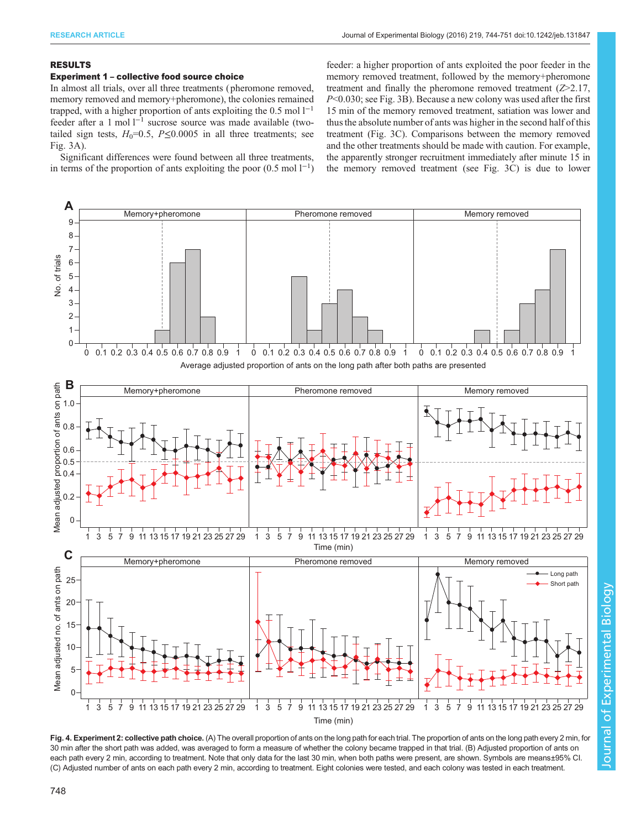# <span id="page-4-0"></span>RESULTS

# Experiment 1 – collective food source choice

In almost all trials, over all three treatments ( pheromone removed, memory removed and memory+pheromone), the colonies remained trapped, with a higher proportion of ants exploiting the 0.5 mol  $l^{-1}$ feeder after a 1 mol  $l^{-1}$  sucrose source was made available (twotailed sign tests,  $H_0=0.5$ ,  $P\leq 0.0005$  in all three treatments; see [Fig. 3](#page-3-0)A).

Significant differences were found between all three treatments, in terms of the proportion of ants exploiting the poor  $(0.5 \text{ mol } 1^{-1})$ 

feeder: a higher proportion of ants exploited the poor feeder in the memory removed treatment, followed by the memory+pheromone treatment and finally the pheromone removed treatment  $(Z>2.17$ , P<0.030; see [Fig. 3](#page-3-0)B). Because a new colony was used after the first 15 min of the memory removed treatment, satiation was lower and thus the absolute number of ants was higher in the second half of this treatment [\(Fig. 3C](#page-3-0)). Comparisons between the memory removed and the other treatments should be made with caution. For example, the apparently stronger recruitment immediately after minute 15 in the memory removed treatment (see [Fig. 3C](#page-3-0)) is due to lower



Fig. 4. Experiment 2: collective path choice. (A) The overall proportion of ants on the long path for each trial. The proportion of ants on the long path every 2 min, for 30 min after the short path was added, was averaged to form a measure of whether the colony became trapped in that trial. (B) Adjusted proportion of ants on each path every 2 min, according to treatment. Note that only data for the last 30 min, when both paths were present, are shown. Symbols are means±95% CI. (C) Adjusted number of ants on each path every 2 min, according to treatment. Eight colonies were tested, and each colony was tested in each treatment.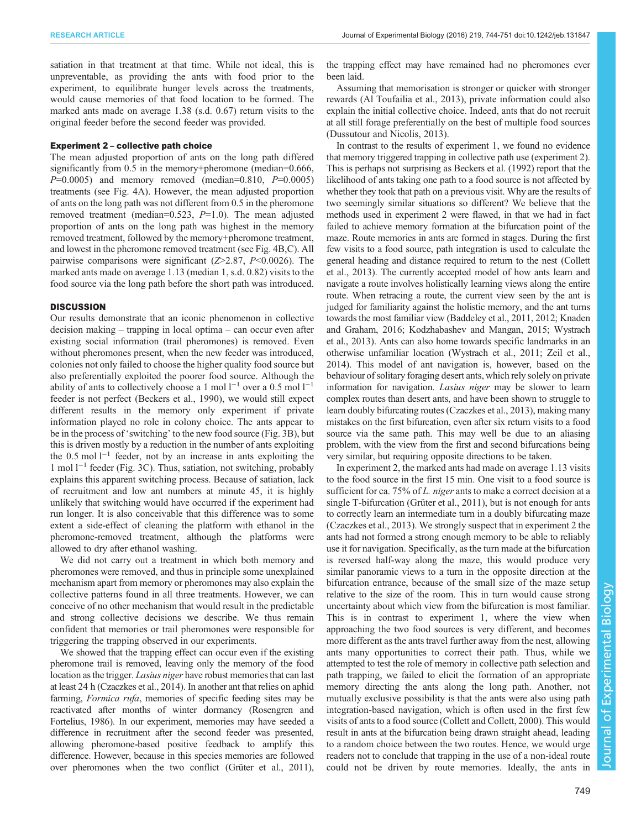satiation in that treatment at that time. While not ideal, this is unpreventable, as providing the ants with food prior to the experiment, to equilibrate hunger levels across the treatments, would cause memories of that food location to be formed. The marked ants made on average 1.38 (s.d. 0.67) return visits to the original feeder before the second feeder was provided.

#### Experiment 2 – collective path choice

The mean adjusted proportion of ants on the long path differed significantly from 0.5 in the memory+pheromone (median=0.666,  $P=0.0005$ ) and memory removed (median=0.810,  $P=0.0005$ ) treatments (see [Fig. 4A](#page-4-0)). However, the mean adjusted proportion of ants on the long path was not different from 0.5 in the pheromone removed treatment (median=0.523,  $P=1.0$ ). The mean adjusted proportion of ants on the long path was highest in the memory removed treatment, followed by the memory+pheromone treatment, and lowest in the pheromone removed treatment (see [Fig. 4B](#page-4-0),C). All pairwise comparisons were significant ( $Z$ >2.87,  $P$  <0.0026). The marked ants made on average 1.13 (median 1, s.d. 0.82) visits to the food source via the long path before the short path was introduced.

# **DISCUSSION**

Our results demonstrate that an iconic phenomenon in collective decision making – trapping in local optima – can occur even after existing social information (trail pheromones) is removed. Even without pheromones present, when the new feeder was introduced, colonies not only failed to choose the higher quality food source but also preferentially exploited the poorer food source. Although the ability of ants to collectively choose a 1 mol  $l^{-1}$  over a 0.5 mol  $l^{-1}$ feeder is not perfect [\(Beckers et al., 1990](#page-6-0)), we would still expect different results in the memory only experiment if private information played no role in colony choice. The ants appear to be in the process of 'switching' to the new food source ([Fig. 3](#page-3-0)B), but this is driven mostly by a reduction in the number of ants exploiting the 0.5 mol l−<sup>1</sup> feeder, not by an increase in ants exploiting the 1 mol l−<sup>1</sup> feeder [\(Fig. 3C](#page-3-0)). Thus, satiation, not switching, probably explains this apparent switching process. Because of satiation, lack of recruitment and low ant numbers at minute 45, it is highly unlikely that switching would have occurred if the experiment had run longer. It is also conceivable that this difference was to some extent a side-effect of cleaning the platform with ethanol in the pheromone-removed treatment, although the platforms were allowed to dry after ethanol washing.

We did not carry out a treatment in which both memory and pheromones were removed, and thus in principle some unexplained mechanism apart from memory or pheromones may also explain the collective patterns found in all three treatments. However, we can conceive of no other mechanism that would result in the predictable and strong collective decisions we describe. We thus remain confident that memories or trail pheromones were responsible for triggering the trapping observed in our experiments.

We showed that the trapping effect can occur even if the existing pheromone trail is removed, leaving only the memory of the food location as the trigger. Lasius niger have robust memories that can last at least 24 h [\(Czaczkes et al., 2014](#page-6-0)). In another ant that relies on aphid farming, *Formica rufa*, memories of specific feeding sites may be reactivated after months of winter dormancy [\(Rosengren and](#page-7-0) [Fortelius, 1986\)](#page-7-0). In our experiment, memories may have seeded a difference in recruitment after the second feeder was presented, allowing pheromone-based positive feedback to amplify this difference. However, because in this species memories are followed over pheromones when the two conflict [\(Grüter et al., 2011\)](#page-6-0),

the trapping effect may have remained had no pheromones ever been laid.

Assuming that memorisation is stronger or quicker with stronger rewards [\(Al Toufailia et al., 2013](#page-6-0)), private information could also explain the initial collective choice. Indeed, ants that do not recruit at all still forage preferentially on the best of multiple food sources [\(Dussutour and Nicolis, 2013\)](#page-6-0).

In contrast to the results of experiment 1, we found no evidence that memory triggered trapping in collective path use (experiment 2). This is perhaps not surprising as [Beckers et al. \(1992\)](#page-6-0) report that the likelihood of ants taking one path to a food source is not affected by whether they took that path on a previous visit. Why are the results of two seemingly similar situations so different? We believe that the methods used in experiment 2 were flawed, in that we had in fact failed to achieve memory formation at the bifurcation point of the maze. Route memories in ants are formed in stages. During the first few visits to a food source, path integration is used to calculate the general heading and distance required to return to the nest [\(Collett](#page-6-0) [et al., 2013](#page-6-0)). The currently accepted model of how ants learn and navigate a route involves holistically learning views along the entire route. When retracing a route, the current view seen by the ant is judged for familiarity against the holistic memory, and the ant turns towards the most familiar view ([Baddeley et al., 2011](#page-6-0), [2012](#page-6-0); [Knaden](#page-7-0) [and Graham, 2016](#page-7-0); [Kodzhabashev and Mangan, 2015; Wystrach](#page-7-0) [et al., 2013](#page-7-0)). Ants can also home towards specific landmarks in an otherwise unfamiliar location ([Wystrach et al., 2011; Zeil et al.,](#page-7-0) [2014\)](#page-7-0). This model of ant navigation is, however, based on the behaviour of solitary foraging desert ants, which rely solely on private information for navigation. Lasius niger may be slower to learn complex routes than desert ants, and have been shown to struggle to learn doubly bifurcating routes [\(Czaczkes et al., 2013](#page-6-0)), making many mistakes on the first bifurcation, even after six return visits to a food source via the same path. This may well be due to an aliasing problem, with the view from the first and second bifurcations being very similar, but requiring opposite directions to be taken.

In experiment 2, the marked ants had made on average 1.13 visits to the food source in the first 15 min. One visit to a food source is sufficient for ca. 75% of *L. niger* ants to make a correct decision at a single T-bifurcation ([Grüter et al., 2011](#page-6-0)), but is not enough for ants to correctly learn an intermediate turn in a doubly bifurcating maze [\(Czaczkes et al., 2013](#page-6-0)). We strongly suspect that in experiment 2 the ants had not formed a strong enough memory to be able to reliably use it for navigation. Specifically, as the turn made at the bifurcation is reversed half-way along the maze, this would produce very similar panoramic views to a turn in the opposite direction at the bifurcation entrance, because of the small size of the maze setup relative to the size of the room. This in turn would cause strong uncertainty about which view from the bifurcation is most familiar. This is in contrast to experiment 1, where the view when approaching the two food sources is very different, and becomes more different as the ants travel further away from the nest, allowing ants many opportunities to correct their path. Thus, while we attempted to test the role of memory in collective path selection and path trapping, we failed to elicit the formation of an appropriate memory directing the ants along the long path. Another, not mutually exclusive possibility is that the ants were also using path integration-based navigation, which is often used in the first few visits of ants to a food source [\(Collett and Collett, 2000\)](#page-6-0). This would result in ants at the bifurcation being drawn straight ahead, leading to a random choice between the two routes. Hence, we would urge readers not to conclude that trapping in the use of a non-ideal route could not be driven by route memories. Ideally, the ants in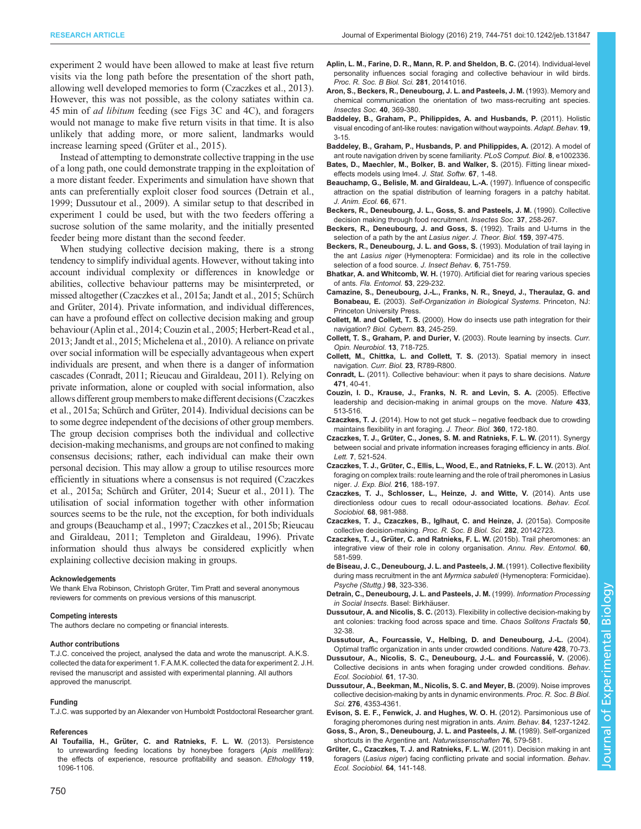<span id="page-6-0"></span>experiment 2 would have been allowed to make at least five return visits via the long path before the presentation of the short path, allowing well developed memories to form (Czaczkes et al., 2013). However, this was not possible, as the colony satiates within ca. 45 min of ad libitum feeding (see [Figs 3](#page-3-0)C and [4](#page-4-0)C), and foragers would not manage to make five return visits in that time. It is also unlikely that adding more, or more salient, landmarks would increase learning speed ([Grüter et al., 2015](#page-7-0)).

Instead of attempting to demonstrate collective trapping in the use of a long path, one could demonstrate trapping in the exploitation of a more distant feeder. Experiments and simulation have shown that ants can preferentially exploit closer food sources (Detrain et al., 1999; Dussutour et al., 2009). A similar setup to that described in experiment 1 could be used, but with the two feeders offering a sucrose solution of the same molarity, and the initially presented feeder being more distant than the second feeder.

When studying collective decision making, there is a strong tendency to simplify individual agents. However, without taking into account individual complexity or differences in knowledge or abilities, collective behaviour patterns may be misinterpreted, or missed altogether (Czaczkes et al., 2015a; [Jandt et al., 2015](#page-7-0); [Schürch](#page-7-0) [and Grüter, 2014](#page-7-0)). Private information, and individual differences, can have a profound effect on collective decision making and group behaviour (Aplin et al., 2014; Couzin et al., 2005; [Herbert-Read et al.,](#page-7-0) [2013; Jandt et al., 2015](#page-7-0); [Michelena et al., 2010](#page-7-0)). A reliance on private over social information will be especially advantageous when expert individuals are present, and when there is a danger of information cascades (Conradt, 2011; [Rieucau and Giraldeau, 2011](#page-7-0)). Relying on private information, alone or coupled with social information, also allows different group membersto make different decisions (Czaczkes et al., 2015a; [Schürch and Grüter, 2014](#page-7-0)). Individual decisions can be to some degree independent of the decisions of other group members. The group decision comprises both the individual and collective decision-making mechanisms, and groups are not confined to making consensus decisions; rather, each individual can make their own personal decision. This may allow a group to utilise resources more efficiently in situations where a consensus is not required (Czaczkes et al., 2015a; [Schürch and Grüter, 2014](#page-7-0); [Sueur et al., 2011\)](#page-7-0). The utilisation of social information together with other information sources seems to be the rule, not the exception, for both individuals and groups (Beauchamp et al., 1997; Czaczkes et al., 2015b; [Rieucau](#page-7-0) [and Giraldeau, 2011](#page-7-0); [Templeton and Giraldeau, 1996\)](#page-7-0). Private information should thus always be considered explicitly when explaining collective decision making in groups.

#### Acknowledgements

We thank Elva Robinson, Christoph Grüter, Tim Pratt and several anonymous reviewers for comments on previous versions of this manuscript.

#### Competing interests

The authors declare no competing or financial interests.

#### Author contributions

T.J.C. conceived the project, analysed the data and wrote the manuscript. A.K.S. collected the data for experiment 1. F.A.M.K. collected the data for experiment 2. J.H. revised the manuscript and assisted with experimental planning. All authors approved the manuscript.

#### Funding

T.J.C. was supported by an Alexander von Humboldt Postdoctoral Researcher grant.

#### References

Al Toufailia, H., Grü[ter, C. and Ratnieks, F. L. W.](http://dx.doi.org/10.1111/eth.12170) (2013). Persistence [to unrewarding feeding locations by honeybee foragers \(](http://dx.doi.org/10.1111/eth.12170)Apis mellifera): [the effects of experience, resource profitability and season.](http://dx.doi.org/10.1111/eth.12170) Ethology 119, [1096-1106.](http://dx.doi.org/10.1111/eth.12170)

- [Aplin, L. M., Farine, D. R., Mann, R. P. and Sheldon, B. C.](http://dx.doi.org/10.1098/rspb.2014.1016) (2014). Individual-level [personality influences social foraging and collective behaviour in wild birds.](http://dx.doi.org/10.1098/rspb.2014.1016) [Proc. R. Soc. B Biol. Sci.](http://dx.doi.org/10.1098/rspb.2014.1016) 281, 20141016.
- [Aron, S., Beckers, R., Deneubourg, J. L. and Pasteels, J. M.](http://dx.doi.org/10.1007/BF01253900) (1993). Memory and [chemical communication the orientation of two mass-recruiting ant species.](http://dx.doi.org/10.1007/BF01253900) [Insectes Soc.](http://dx.doi.org/10.1007/BF01253900) 40, 369-380.
- [Baddeley, B., Graham, P., Philippides, A. and Husbands, P.](http://dx.doi.org/10.1177/1059712310395410) (2011). Holistic [visual encoding of ant-like routes: navigation without waypoints.](http://dx.doi.org/10.1177/1059712310395410) Adapt. Behav. 19, [3-15.](http://dx.doi.org/10.1177/1059712310395410)
- [Baddeley, B., Graham, P., Husbands, P. and Philippides, A.](http://dx.doi.org/10.1371/journal.pcbi.1002336) (2012). A model of [ant route navigation driven by scene familiarity.](http://dx.doi.org/10.1371/journal.pcbi.1002336) PLoS Comput. Biol. 8, e1002336.
- [Bates, D., Maechler, M., Bolker, B. and Walker, S.](http://dx.doi.org/10.18637/jss.v067.i01) (2015). Fitting linear mixed[effects models using lme4.](http://dx.doi.org/10.18637/jss.v067.i01) J. Stat. Softw. 67, 1-48.
- [Beauchamp, G., Belisle, M. and Giraldeau, L.-A.](http://dx.doi.org/10.2307/5920) (1997). Influence of conspecific [attraction on the spatial distribution of learning foragers in a patchy habitat.](http://dx.doi.org/10.2307/5920) [J. Anim. Ecol.](http://dx.doi.org/10.2307/5920) 66, 671.
- [Beckers, R., Deneubourg, J. L., Goss, S. and Pasteels, J. M.](http://dx.doi.org/10.1007/BF02224053) (1990). Collective [decision making through food recruitment.](http://dx.doi.org/10.1007/BF02224053) Insectes Soc. 37, 258-267.
- [Beckers, R., Deneubourg, J. and Goss, S.](http://dx.doi.org/10.1016/S0022-5193(05)80686-1) (1992). Trails and U-turns in the [selection of a path by the ant](http://dx.doi.org/10.1016/S0022-5193(05)80686-1) Lasius niger. J. Theor. Biol. 159, 397-475.
- [Beckers, R., Deneubourg, J. L. and Goss, S.](http://dx.doi.org/10.1007/BF01201674) (1993). Modulation of trail laying in the ant Lasius niger [\(Hymenoptera: Formicidae\) and its role in the collective](http://dx.doi.org/10.1007/BF01201674) [selection of a food source.](http://dx.doi.org/10.1007/BF01201674) J. Insect Behav. 6, 751-759.
- Bhatkar, A. and Whitcomb, W. H. [\(1970\). Artificial diet for rearing various species](http://dx.doi.org/10.2307/3493193) of ants. [Fla. Entomol.](http://dx.doi.org/10.2307/3493193) 53, 229-232.
- Camazine, S., Deneubourg, J.-L., Franks, N. R., Sneyd, J., Theraulaz, G. and Bonabeau, E. (2003). Self-Organization in Biological Systems. Princeton, NJ: Princeton University Press.
- Collett, M. and Collett, T. S. [\(2000\). How do insects use path integration for their](http://dx.doi.org/10.1007/s004220000168) navigation? [Biol. Cybern.](http://dx.doi.org/10.1007/s004220000168) 83, 245-259.
- [Collett, T. S., Graham, P. and Durier, V.](http://dx.doi.org/10.1016/j.conb.2003.10.004) (2003). Route learning by insects. Curr. [Opin. Neurobiol.](http://dx.doi.org/10.1016/j.conb.2003.10.004) 13, 718-725.
- [Collett, M., Chittka, L. and Collett, T. S.](http://dx.doi.org/10.1016/j.cub.2013.07.020) (2013). Spatial memory in insect navigation. Curr. Biol. 23[, R789-R800.](http://dx.doi.org/10.1016/j.cub.2013.07.020)
- Conradt, L. [\(2011\). Collective behaviour: when it pays to share decisions.](http://dx.doi.org/10.1038/471040a) Nature 471[, 40-41.](http://dx.doi.org/10.1038/471040a)
- [Couzin, I. D., Krause, J., Franks, N. R. and Levin, S. A.](http://dx.doi.org/10.1038/nature03236) (2005). Effective [leadership and decision-making in animal groups on the move.](http://dx.doi.org/10.1038/nature03236) Nature 433, [513-516.](http://dx.doi.org/10.1038/nature03236)
- Czaczkes, T. J. (2014). How to not get stuck [negative feedback due to crowding](http://dx.doi.org/10.1016/j.jtbi.2014.07.005) [maintains flexibility in ant foraging.](http://dx.doi.org/10.1016/j.jtbi.2014.07.005) J. Theor. Biol. 360, 172-180.
- Czaczkes, T. J., Grü[ter, C., Jones, S. M. and Ratnieks, F. L. W.](http://dx.doi.org/10.1098/rsbl.2011.0067) (2011). Synergy [between social and private information increases foraging efficiency in ants.](http://dx.doi.org/10.1098/rsbl.2011.0067) Biol. Lett. 7[, 521-524.](http://dx.doi.org/10.1098/rsbl.2011.0067)
- Czaczkes, T. J., Grü[ter, C., Ellis, L., Wood, E., and Ratnieks, F. L. W.](http://dx.doi.org/10.1242/jeb.076570) (2013). Ant [foraging on complex trails: route learning and the role of trail pheromones in Lasius](http://dx.doi.org/10.1242/jeb.076570) niger. [J. Exp. Biol.](http://dx.doi.org/10.1242/jeb.076570) 216, 188-197.
- [Czaczkes, T. J., Schlosser, L., Heinze, J. and Witte, V.](http://dx.doi.org/10.1007/s00265-014-1710-2) (2014). Ants use [directionless odour cues to recall odour-associated locations.](http://dx.doi.org/10.1007/s00265-014-1710-2) Behav. Ecol. Sociobiol. 68[, 981-988.](http://dx.doi.org/10.1007/s00265-014-1710-2)
- [Czaczkes, T. J., Czaczkes, B., Iglhaut, C. and Heinze, J.](http://dx.doi.org/10.1098/rspb.2014.2723) (2015a). Composite [collective decision-making.](http://dx.doi.org/10.1098/rspb.2014.2723) Proc. R. Soc. B Biol. Sci. 282, 20142723.
- Czaczkes, T. J., Grüter, C. and Ratnieks, F. L. W. [\(2015b\). Trail pheromones: an](http://dx.doi.org/10.1146/annurev-ento-010814-020627) [integrative view of their role in colony organisation.](http://dx.doi.org/10.1146/annurev-ento-010814-020627) Annu. Rev. Entomol. 60, [581-599.](http://dx.doi.org/10.1146/annurev-ento-010814-020627)
- [de Biseau, J. C., Deneubourg, J. L. and Pasteels, J. M.](http://dx.doi.org/10.1155/1991/38402) (1991). Collective flexibility [during mass recruitment in the ant](http://dx.doi.org/10.1155/1991/38402) Myrmica sabuleti (Hymenoptera: Formicidae). [Psyche \(Stuttg.\)](http://dx.doi.org/10.1155/1991/38402) 98, 323-336.
- Detrain, C., Deneubourg, J. L. and Pasteels, J. M. (1999). Information Processing in Social Insects. Basel: Birkhäuser.
- Dussutour, A. and Nicolis, S. C. [\(2013\). Flexibility in collective decision-making by](http://dx.doi.org/10.1016/j.chaos.2013.02.004) [ant colonies: tracking food across space and time.](http://dx.doi.org/10.1016/j.chaos.2013.02.004) Chaos Solitons Fractals 50, [32-38.](http://dx.doi.org/10.1016/j.chaos.2013.02.004)
- [Dussutour, A., Fourcassie, V., Helbing, D. and Deneubourg, J.-L.](http://dx.doi.org/10.1038/nature02345) (2004). [Optimal traffic organization in ants under crowded conditions.](http://dx.doi.org/10.1038/nature02345) Nature 428, 70-73.
- Dussutour, A., Nicolis, S. C., Deneubourg, J.-L. and Fourcassié, V. (2006). [Collective decisions in ants when foraging under crowded conditions.](http://dx.doi.org/10.1007/s00265-006-0233-x) Behav. [Ecol. Sociobiol.](http://dx.doi.org/10.1007/s00265-006-0233-x) 61, 17-30.
- [Dussutour, A., Beekman, M., Nicolis, S. C. and Meyer, B.](http://dx.doi.org/10.1098/rspb.2009.1235) (2009). Noise improves [collective decision-making by ants in dynamic environments.](http://dx.doi.org/10.1098/rspb.2009.1235) Proc. R. Soc. B Biol. Sci. 276[, 4353-4361.](http://dx.doi.org/10.1098/rspb.2009.1235)
- [Evison, S. E. F., Fenwick, J. and Hughes, W. O. H.](http://dx.doi.org/10.1016/j.anbehav.2012.08.034) (2012). Parsimonious use of [foraging pheromones during nest migration in ants.](http://dx.doi.org/10.1016/j.anbehav.2012.08.034) Anim. Behav. 84, 1237-1242.
- [Goss, S., Aron, S., Deneubourg, J. L. and Pasteels, J. M.](http://dx.doi.org/10.1007/BF00462870) (1989). Self-organized [shortcuts in the Argentine ant.](http://dx.doi.org/10.1007/BF00462870) Naturwissenschaften 76, 579-581.
- Grü[ter, C., Czaczkes, T. J. and Ratnieks, F. L. W.](http://dx.doi.org/10.1007/s00265-010-1020-2) (2011). Decision making in ant foragers (Lasius niger[\) facing conflicting private and social information.](http://dx.doi.org/10.1007/s00265-010-1020-2) Behav. [Ecol. Sociobiol.](http://dx.doi.org/10.1007/s00265-010-1020-2) 64, 141-148.